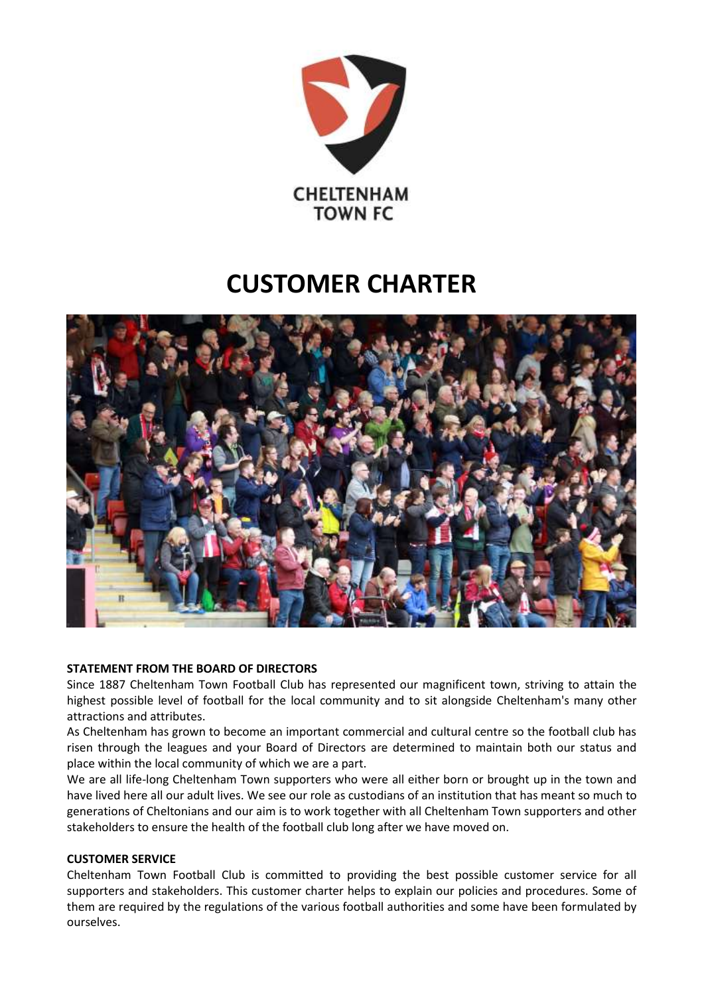

# **CUSTOMER CHARTER**



# **STATEMENT FROM THE BOARD OF DIRECTORS**

Since 1887 Cheltenham Town Football Club has represented our magnificent town, striving to attain the highest possible level of football for the local community and to sit alongside Cheltenham's many other attractions and attributes.

As Cheltenham has grown to become an important commercial and cultural centre so the football club has risen through the leagues and your Board of Directors are determined to maintain both our status and place within the local community of which we are a part.

We are all life-long Cheltenham Town supporters who were all either born or brought up in the town and have lived here all our adult lives. We see our role as custodians of an institution that has meant so much to generations of Cheltonians and our aim is to work together with all Cheltenham Town supporters and other stakeholders to ensure the health of the football club long after we have moved on.

# **CUSTOMER SERVICE**

Cheltenham Town Football Club is committed to providing the best possible customer service for all supporters and stakeholders. This customer charter helps to explain our policies and procedures. Some of them are required by the regulations of the various football authorities and some have been formulated by ourselves.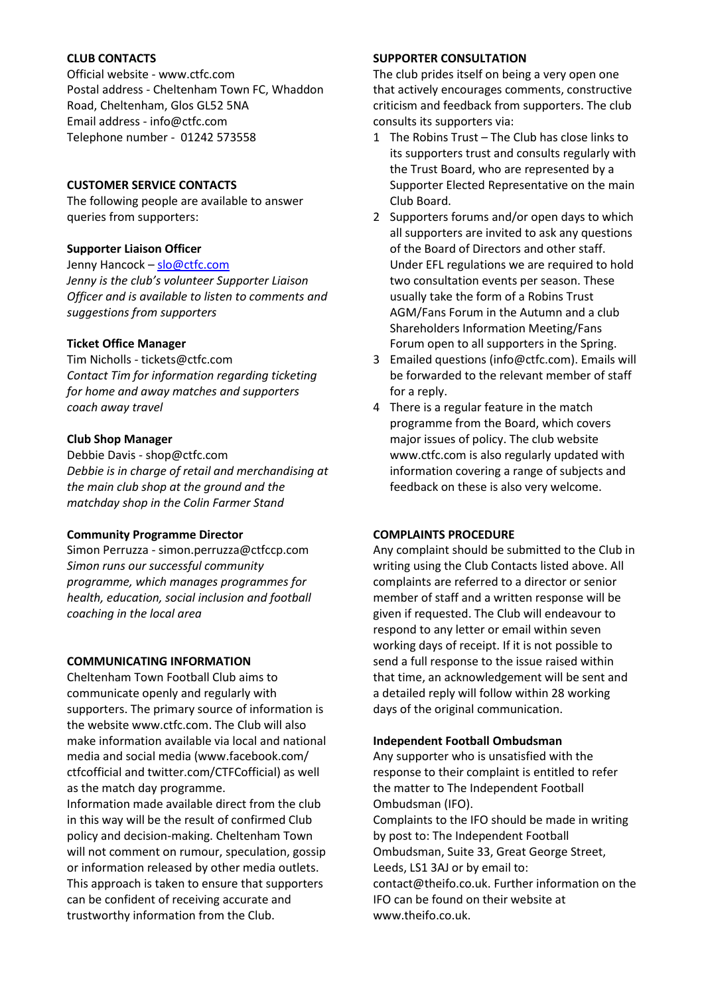# **CLUB CONTACTS**

Official website - www.ctfc.com Postal address - Cheltenham Town FC, Whaddon Road, Cheltenham, Glos GL52 5NA Email address - info@ctfc.com Telephone number - 01242 573558

# **CUSTOMER SERVICE CONTACTS**

The following people are available to answer queries from supporters:

# **Supporter Liaison Officer**

Jenny Hancock – [slo@ctfc.com](mailto:slo@ctfc.com) *Jenny is the club's volunteer Supporter Liaison Officer and is available to listen to comments and suggestions from supporters*

# **Ticket Office Manager**

Tim Nicholls - tickets@ctfc.com *Contact Tim for information regarding ticketing for home and away matches and supporters coach away travel*

# **Club Shop Manager**

Debbie Davis - shop@ctfc.com *Debbie is in charge of retail and merchandising at the main club shop at the ground and the matchday shop in the Colin Farmer Stand*

# **Community Programme Director**

Simon Perruzza - simon.perruzza@ctfccp.com *Simon runs our successful community programme, which manages programmes for health, education, social inclusion and football coaching in the local area*

# **COMMUNICATING INFORMATION**

Cheltenham Town Football Club aims to communicate openly and regularly with supporters. The primary source of information is the website www.ctfc.com. The Club will also make information available via local and national media and social media [\(www.facebook.com/](http://www.facebook.com/) ctfcofficial and twitter.com/CTFCofficial) as well as the match day programme.

Information made available direct from the club in this way will be the result of confirmed Club policy and decision-making. Cheltenham Town will not comment on rumour, speculation, gossip or information released by other media outlets. This approach is taken to ensure that supporters can be confident of receiving accurate and trustworthy information from the Club.

# **SUPPORTER CONSULTATION**

The club prides itself on being a very open one that actively encourages comments, constructive criticism and feedback from supporters. The club consults its supporters via:

- 1 The Robins Trust The Club has close links to its supporters trust and consults regularly with the Trust Board, who are represented by a Supporter Elected Representative on the main Club Board.
- 2 Supporters forums and/or open days to which all supporters are invited to ask any questions of the Board of Directors and other staff. Under EFL regulations we are required to hold two consultation events per season. These usually take the form of a Robins Trust AGM/Fans Forum in the Autumn and a club Shareholders Information Meeting/Fans Forum open to all supporters in the Spring.
- 3 Emailed questions (info@ctfc.com). Emails will be forwarded to the relevant member of staff for a reply.
- 4 There is a regular feature in the match programme from the Board, which covers major issues of policy. The club website www.ctfc.com is also regularly updated with information covering a range of subjects and feedback on these is also very welcome.

# **COMPLAINTS PROCEDURE**

Any complaint should be submitted to the Club in writing using the Club Contacts listed above. All complaints are referred to a director or senior member of staff and a written response will be given if requested. The Club will endeavour to respond to any letter or email within seven working days of receipt. If it is not possible to send a full response to the issue raised within that time, an acknowledgement will be sent and a detailed reply will follow within 28 working days of the original communication.

# **Independent Football Ombudsman**

Any supporter who is unsatisfied with the response to their complaint is entitled to refer the matter to The Independent Football Ombudsman (IFO). Complaints to the IFO should be made in writing by post to: The Independent Football Ombudsman, Suite 33, Great George Street, Leeds, LS1 3AJ or by email to: contact@theifo.co.uk. Further information on the IFO can be found on their website at www.theifo.co.uk.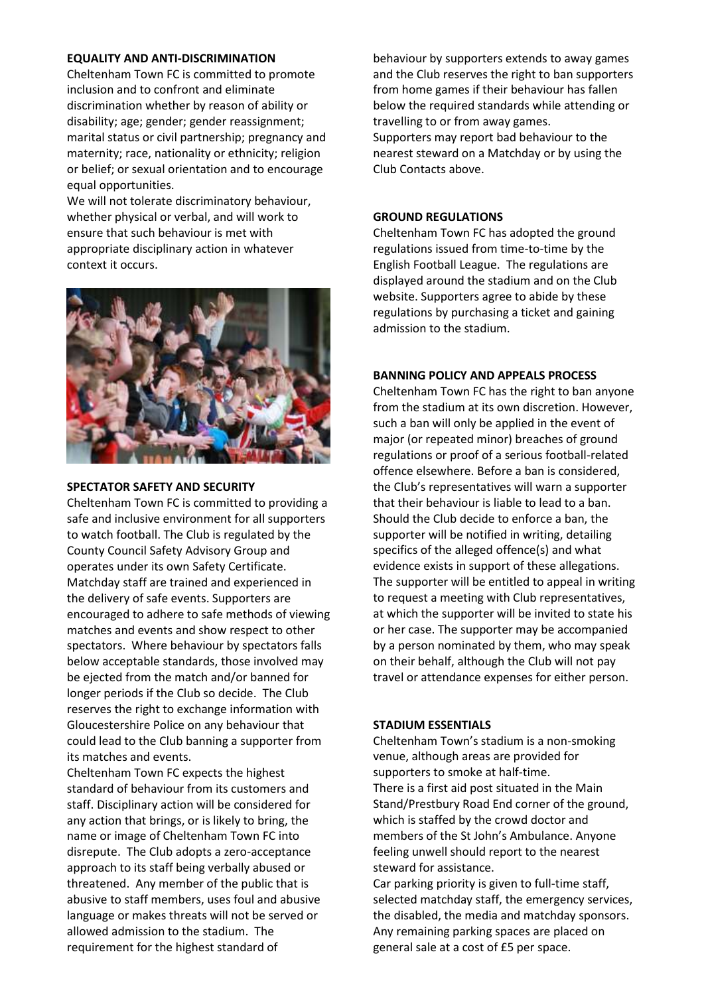# **EQUALITY AND ANTI-DISCRIMINATION**

Cheltenham Town FC is committed to promote inclusion and to confront and eliminate discrimination whether by reason of ability or disability; age; gender; gender reassignment; marital status or civil partnership; pregnancy and maternity; race, nationality or ethnicity; religion or belief; or sexual orientation and to encourage equal opportunities.

We will not tolerate discriminatory behaviour, whether physical or verbal, and will work to ensure that such behaviour is met with appropriate disciplinary action in whatever context it occurs.



#### **SPECTATOR SAFETY AND SECURITY**

Cheltenham Town FC is committed to providing a safe and inclusive environment for all supporters to watch football. The Club is regulated by the County Council Safety Advisory Group and operates under its own Safety Certificate. Matchday staff are trained and experienced in the delivery of safe events. Supporters are encouraged to adhere to safe methods of viewing matches and events and show respect to other spectators. Where behaviour by spectators falls below acceptable standards, those involved may be ejected from the match and/or banned for longer periods if the Club so decide. The Club reserves the right to exchange information with Gloucestershire Police on any behaviour that could lead to the Club banning a supporter from its matches and events.

Cheltenham Town FC expects the highest standard of behaviour from its customers and staff. Disciplinary action will be considered for any action that brings, or is likely to bring, the name or image of Cheltenham Town FC into disrepute. The Club adopts a zero-acceptance approach to its staff being verbally abused or threatened. Any member of the public that is abusive to staff members, uses foul and abusive language or makes threats will not be served or allowed admission to the stadium. The requirement for the highest standard of

behaviour by supporters extends to away games and the Club reserves the right to ban supporters from home games if their behaviour has fallen below the required standards while attending or travelling to or from away games. Supporters may report bad behaviour to the nearest steward on a Matchday or by using the Club Contacts above.

## **GROUND REGULATIONS**

Cheltenham Town FC has adopted the ground regulations issued from time-to-time by the English Football League. The regulations are displayed around the stadium and on the Club website. Supporters agree to abide by these regulations by purchasing a ticket and gaining admission to the stadium.

### **BANNING POLICY AND APPEALS PROCESS**

Cheltenham Town FC has the right to ban anyone from the stadium at its own discretion. However, such a ban will only be applied in the event of major (or repeated minor) breaches of ground regulations or proof of a serious football-related offence elsewhere. Before a ban is considered, the Club's representatives will warn a supporter that their behaviour is liable to lead to a ban. Should the Club decide to enforce a ban, the supporter will be notified in writing, detailing specifics of the alleged offence(s) and what evidence exists in support of these allegations. The supporter will be entitled to appeal in writing to request a meeting with Club representatives, at which the supporter will be invited to state his or her case. The supporter may be accompanied by a person nominated by them, who may speak on their behalf, although the Club will not pay travel or attendance expenses for either person.

#### **STADIUM ESSENTIALS**

Cheltenham Town's stadium is a non-smoking venue, although areas are provided for supporters to smoke at half-time. There is a first aid post situated in the Main Stand/Prestbury Road End corner of the ground, which is staffed by the crowd doctor and members of the St John's Ambulance. Anyone feeling unwell should report to the nearest steward for assistance.

Car parking priority is given to full-time staff, selected matchday staff, the emergency services, the disabled, the media and matchday sponsors. Any remaining parking spaces are placed on general sale at a cost of £5 per space.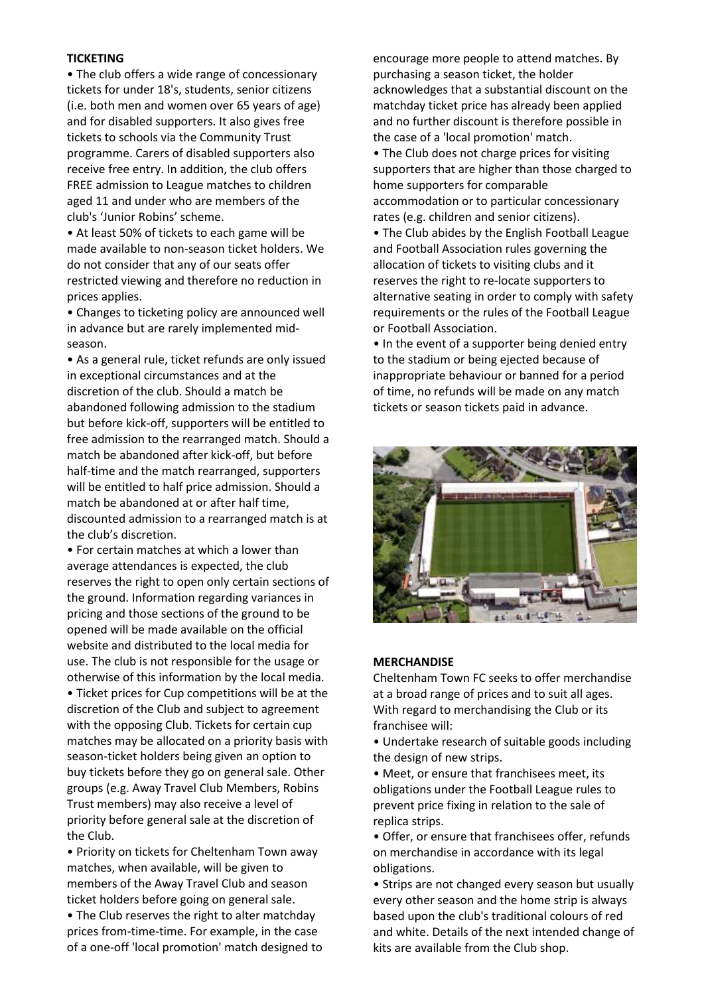# **TICKETING**

• The club offers a wide range of concessionary tickets for under 18's, students, senior citizens (i.e. both men and women over 65 years of age) and for disabled supporters. It also gives free tickets to schools via the Community Trust programme. Carers of disabled supporters also receive free entry. In addition, the club offers FREE admission to League matches to children aged 11 and under who are members of the club's 'Junior Robins' scheme.

• At least 50% of tickets to each game will be made available to non-season ticket holders. We do not consider that any of our seats offer restricted viewing and therefore no reduction in prices applies.

• Changes to ticketing policy are announced well in advance but are rarely implemented midseason.

• As a general rule, ticket refunds are only issued in exceptional circumstances and at the discretion of the club. Should a match be abandoned following admission to the stadium but before kick-off, supporters will be entitled to free admission to the rearranged match. Should a match be abandoned after kick-off, but before half-time and the match rearranged, supporters will be entitled to half price admission. Should a match be abandoned at or after half time, discounted admission to a rearranged match is at the club's discretion.

• For certain matches at which a lower than average attendances is expected, the club reserves the right to open only certain sections of the ground. Information regarding variances in pricing and those sections of the ground to be opened will be made available on the official website and distributed to the local media for use. The club is not responsible for the usage or otherwise of this information by the local media. • Ticket prices for Cup competitions will be at the discretion of the Club and subject to agreement with the opposing Club. Tickets for certain cup matches may be allocated on a priority basis with season-ticket holders being given an option to buy tickets before they go on general sale. Other groups (e.g. Away Travel Club Members, Robins Trust members) may also receive a level of

priority before general sale at the discretion of the Club.

• Priority on tickets for Cheltenham Town away matches, when available, will be given to members of the Away Travel Club and season ticket holders before going on general sale.

• The Club reserves the right to alter matchday prices from-time-time. For example, in the case of a one-off 'local promotion' match designed to

encourage more people to attend matches. By purchasing a season ticket, the holder acknowledges that a substantial discount on the matchday ticket price has already been applied and no further discount is therefore possible in the case of a 'local promotion' match.

• The Club does not charge prices for visiting supporters that are higher than those charged to home supporters for comparable accommodation or to particular concessionary rates (e.g. children and senior citizens).

• The Club abides by the English Football League and Football Association rules governing the allocation of tickets to visiting clubs and it reserves the right to re-locate supporters to alternative seating in order to comply with safety requirements or the rules of the Football League or Football Association.

• In the event of a supporter being denied entry to the stadium or being ejected because of inappropriate behaviour or banned for a period of time, no refunds will be made on any match tickets or season tickets paid in advance.



#### **MERCHANDISE**

Cheltenham Town FC seeks to offer merchandise at a broad range of prices and to suit all ages. With regard to merchandising the Club or its franchisee will:

• Undertake research of suitable goods including the design of new strips.

• Meet, or ensure that franchisees meet, its obligations under the Football League rules to prevent price fixing in relation to the sale of replica strips.

• Offer, or ensure that franchisees offer, refunds on merchandise in accordance with its legal obligations.

• Strips are not changed every season but usually every other season and the home strip is always based upon the club's traditional colours of red and white. Details of the next intended change of kits are available from the Club shop.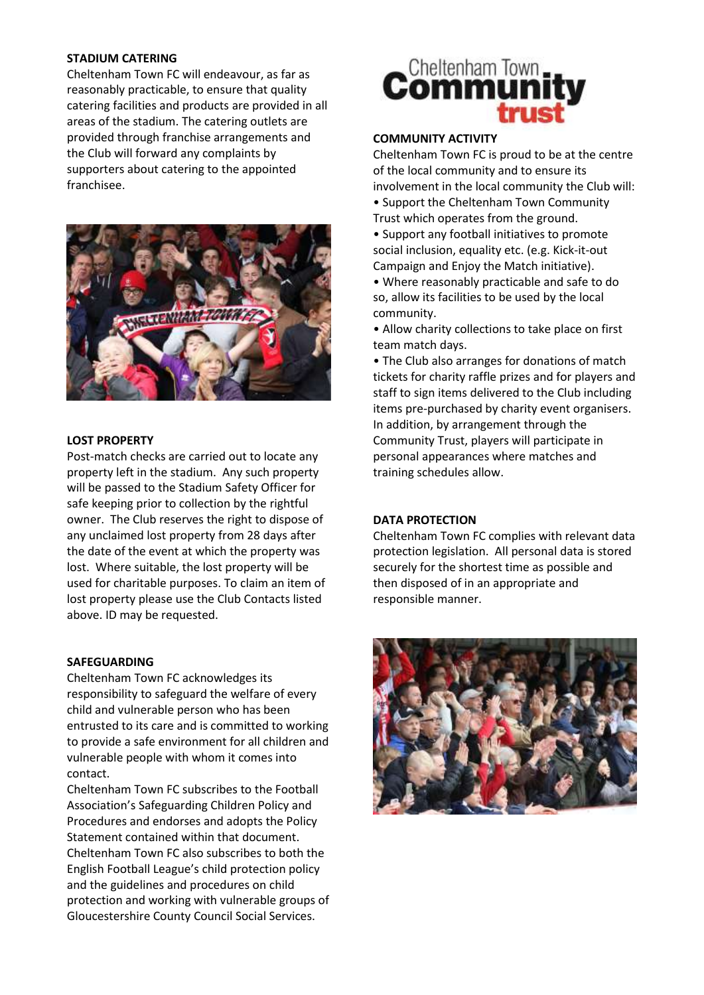# **STADIUM CATERING**

Cheltenham Town FC will endeavour, as far as reasonably practicable, to ensure that quality catering facilities and products are provided in all areas of the stadium. The catering outlets are provided through franchise arrangements and the Club will forward any complaints by supporters about catering to the appointed franchisee.



# **LOST PROPERTY**

Post-match checks are carried out to locate any property left in the stadium. Any such property will be passed to the Stadium Safety Officer for safe keeping prior to collection by the rightful owner. The Club reserves the right to dispose of any unclaimed lost property from 28 days after the date of the event at which the property was lost. Where suitable, the lost property will be used for charitable purposes. To claim an item of lost property please use the Club Contacts listed above. ID may be requested.

# **SAFEGUARDING**

Cheltenham Town FC acknowledges its responsibility to safeguard the welfare of every child and vulnerable person who has been entrusted to its care and is committed to working to provide a safe environment for all children and vulnerable people with whom it comes into contact.

Cheltenham Town FC subscribes to the Football Association's Safeguarding Children Policy and Procedures and endorses and adopts the Policy Statement contained within that document. Cheltenham Town FC also subscribes to both the English Football League's child protection policy and the guidelines and procedures on child protection and working with vulnerable groups of Gloucestershire County Council Social Services.

# **Cheltenham Town**

# **COMMUNITY ACTIVITY**

Cheltenham Town FC is proud to be at the centre of the local community and to ensure its involvement in the local community the Club will:

- Support the Cheltenham Town Community Trust which operates from the ground.
- Support any football initiatives to promote social inclusion, equality etc. (e.g. Kick-it-out Campaign and Enjoy the Match initiative).
- Where reasonably practicable and safe to do so, allow its facilities to be used by the local community.
- Allow charity collections to take place on first team match days.

• The Club also arranges for donations of match tickets for charity raffle prizes and for players and staff to sign items delivered to the Club including items pre-purchased by charity event organisers. In addition, by arrangement through the Community Trust, players will participate in personal appearances where matches and training schedules allow.

# **DATA PROTECTION**

Cheltenham Town FC complies with relevant data protection legislation. All personal data is stored securely for the shortest time as possible and then disposed of in an appropriate and responsible manner.